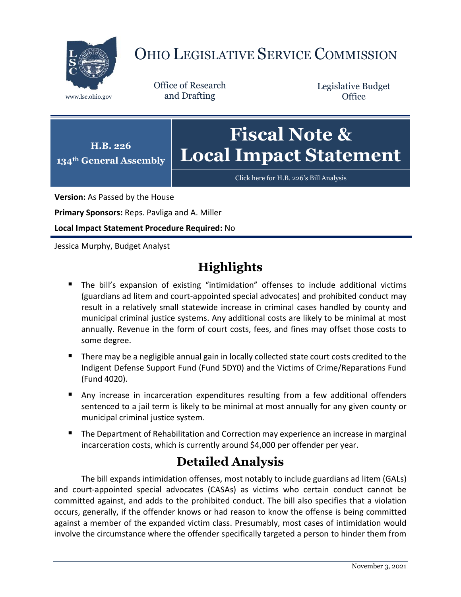

# OHIO LEGISLATIVE SERVICE COMMISSION

Office of Research www.lsc.ohio.gov and Drafting

Legislative Budget **Office** 



[Click here for H.B. 226](https://www.legislature.ohio.gov/legislation/legislation-documents?id=GA134-HB-226)'s Bill Analysis

**Version:** As Passed by the House

**Primary Sponsors:** Reps. Pavliga and A. Miller

**Local Impact Statement Procedure Required:** No

Jessica Murphy, Budget Analyst

# **Highlights**

- The bill's expansion of existing "intimidation" offenses to include additional victims (guardians ad litem and court-appointed special advocates) and prohibited conduct may result in a relatively small statewide increase in criminal cases handled by county and municipal criminal justice systems. Any additional costs are likely to be minimal at most annually. Revenue in the form of court costs, fees, and fines may offset those costs to some degree.
- There may be a negligible annual gain in locally collected state court costs credited to the Indigent Defense Support Fund (Fund 5DY0) and the Victims of Crime/Reparations Fund (Fund 4020).
- Any increase in incarceration expenditures resulting from a few additional offenders sentenced to a jail term is likely to be minimal at most annually for any given county or municipal criminal justice system.
- The Department of Rehabilitation and Correction may experience an increase in marginal incarceration costs, which is currently around \$4,000 per offender per year.

# **Detailed Analysis**

The bill expands intimidation offenses, most notably to include guardians ad litem (GALs) and court-appointed special advocates (CASAs) as victims who certain conduct cannot be committed against, and adds to the prohibited conduct. The bill also specifies that a violation occurs, generally, if the offender knows or had reason to know the offense is being committed against a member of the expanded victim class. Presumably, most cases of intimidation would involve the circumstance where the offender specifically targeted a person to hinder them from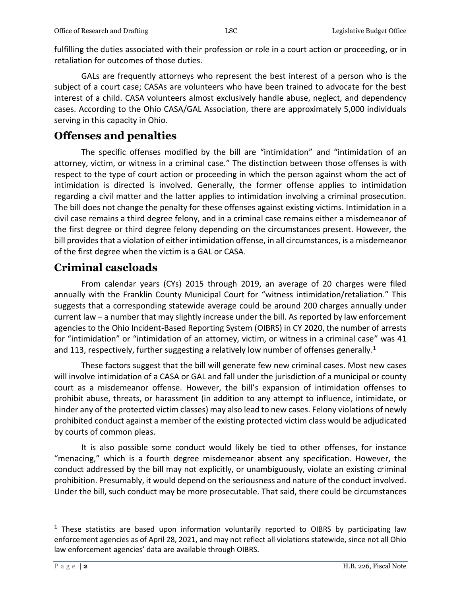| Office of Research and Drafting |  |  |  |
|---------------------------------|--|--|--|
|---------------------------------|--|--|--|

fulfilling the duties associated with their profession or role in a court action or proceeding, or in retaliation for outcomes of those duties.

GALs are frequently attorneys who represent the best interest of a person who is the subject of a court case; CASAs are volunteers who have been trained to advocate for the best interest of a child. CASA volunteers almost exclusively handle abuse, neglect, and dependency cases. According to the Ohio CASA/GAL Association, there are approximately 5,000 individuals serving in this capacity in Ohio.

## **Offenses and penalties**

The specific offenses modified by the bill are "intimidation" and "intimidation of an attorney, victim, or witness in a criminal case." The distinction between those offenses is with respect to the type of court action or proceeding in which the person against whom the act of intimidation is directed is involved. Generally, the former offense applies to intimidation regarding a civil matter and the latter applies to intimidation involving a criminal prosecution. The bill does not change the penalty for these offenses against existing victims. Intimidation in a civil case remains a third degree felony, and in a criminal case remains either a misdemeanor of the first degree or third degree felony depending on the circumstances present. However, the bill provides that a violation of either intimidation offense, in all circumstances, is a misdemeanor of the first degree when the victim is a GAL or CASA.

## **Criminal caseloads**

From calendar years (CYs) 2015 through 2019, an average of 20 charges were filed annually with the Franklin County Municipal Court for "witness intimidation/retaliation." This suggests that a corresponding statewide average could be around 200 charges annually under current law – a number that may slightly increase under the bill. As reported by law enforcement agencies to the Ohio Incident-Based Reporting System (OIBRS) in CY 2020, the number of arrests for "intimidation" or "intimidation of an attorney, victim, or witness in a criminal case" was 41 and 113, respectively, further suggesting a relatively low number of offenses generally.<sup>1</sup>

These factors suggest that the bill will generate few new criminal cases. Most new cases will involve intimidation of a CASA or GAL and fall under the jurisdiction of a municipal or county court as a misdemeanor offense. However, the bill's expansion of intimidation offenses to prohibit abuse, threats, or harassment (in addition to any attempt to influence, intimidate, or hinder any of the protected victim classes) may also lead to new cases. Felony violations of newly prohibited conduct against a member of the existing protected victim class would be adjudicated by courts of common pleas.

It is also possible some conduct would likely be tied to other offenses, for instance "menacing," which is a fourth degree misdemeanor absent any specification. However, the conduct addressed by the bill may not explicitly, or unambiguously, violate an existing criminal prohibition. Presumably, it would depend on the seriousness and nature of the conduct involved. Under the bill, such conduct may be more prosecutable. That said, there could be circumstances

 $\overline{a}$ 

 $1$  These statistics are based upon information voluntarily reported to OIBRS by participating law enforcement agencies as of April 28, 2021, and may not reflect all violations statewide, since not all Ohio law enforcement agencies' data are available through OIBRS.